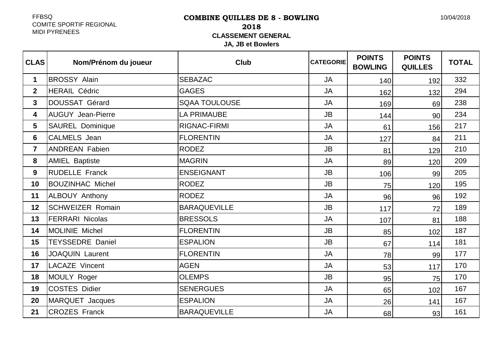## FFBSQ COMITE SPORTIF REGIONALMIDI PYRENEES

# **COMBINE QUILLES DE 8 - BOWLING2018 CLASSEMENT GENERALJA, JB et Bowlers**

| <b>CLAS</b>    | Nom/Prénom du joueur     | <b>Club</b>          | <b>CATEGORIE</b> | <b>POINTS</b><br><b>BOWLING</b> | <b>POINTS</b><br><b>QUILLES</b> | <b>TOTAL</b> |
|----------------|--------------------------|----------------------|------------------|---------------------------------|---------------------------------|--------------|
| $\mathbf 1$    | <b>BROSSY Alain</b>      | <b>SEBAZAC</b>       | <b>JA</b>        | 140                             | 192                             | 332          |
| $\overline{2}$ | <b>HERAIL Cédric</b>     | <b>GAGES</b>         | <b>JA</b>        | 162                             | 132                             | 294          |
| $\mathbf{3}$   | <b>DOUSSAT Gérard</b>    | <b>SQAA TOULOUSE</b> | <b>JA</b>        | 169                             | 69                              | 238          |
| 4              | <b>AUGUY Jean-Pierre</b> | <b>LA PRIMAUBE</b>   | <b>JB</b>        | 144                             | 90                              | 234          |
| 5              | <b>SAUREL Dominique</b>  | RIGNAC-FIRMI         | <b>JA</b>        | 61                              | 156                             | 217          |
| $6\phantom{a}$ | <b>CALMELS</b> Jean      | <b>FLORENTIN</b>     | <b>JA</b>        | 127                             | 84                              | 211          |
| $\overline{7}$ | <b>ANDREAN Fabien</b>    | <b>RODEZ</b>         | <b>JB</b>        | 81                              | 129                             | 210          |
| 8              | <b>AMIEL Baptiste</b>    | <b>MAGRIN</b>        | <b>JA</b>        | 89                              | 120                             | 209          |
| 9              | <b>RUDELLE Franck</b>    | <b>ENSEIGNANT</b>    | <b>JB</b>        | 106                             | 99                              | 205          |
| 10             | <b>BOUZINHAC Michel</b>  | <b>RODEZ</b>         | <b>JB</b>        | 75                              | 120                             | 195          |
| 11             | ALBOUY Anthony           | <b>RODEZ</b>         | <b>JA</b>        | 96                              | 96                              | 192          |
| 12             | <b>SCHWEIZER Romain</b>  | <b>BARAQUEVILLE</b>  | <b>JB</b>        | 117                             | 72                              | 189          |
| 13             | <b>FERRARI Nicolas</b>   | <b>BRESSOLS</b>      | <b>JA</b>        | 107                             | 81                              | 188          |
| 14             | MOLINIE Michel           | <b>FLORENTIN</b>     | <b>JB</b>        | 85                              | 102                             | 187          |
| 15             | <b>TEYSSEDRE Daniel</b>  | <b>ESPALION</b>      | <b>JB</b>        | 67                              | 114                             | 181          |
| 16             | <b>JOAQUIN Laurent</b>   | <b>FLORENTIN</b>     | <b>JA</b>        | 78                              | 99                              | 177          |
| 17             | LACAZE Vincent           | <b>AGEN</b>          | <b>JA</b>        | 53                              | 117                             | 170          |
| 18             | MOULY Roger              | <b>OLEMPS</b>        | <b>JB</b>        | 95                              | 75                              | 170          |
| 19             | <b>COSTES Didier</b>     | <b>SENERGUES</b>     | <b>JA</b>        | 65                              | 102                             | 167          |
| 20             | MARQUET Jacques          | <b>ESPALION</b>      | <b>JA</b>        | 26                              | 141                             | 167          |
| 21             | <b>CROZES Franck</b>     | <b>BARAQUEVILLE</b>  | <b>JA</b>        | 68                              | 93                              | 161          |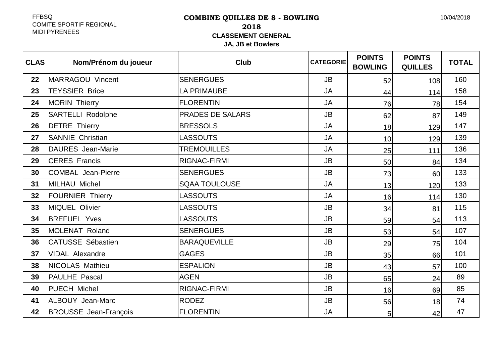## FFBSQ COMITE SPORTIF REGIONALMIDI PYRENEES

# **COMBINE QUILLES DE 8 - BOWLING2018 CLASSEMENT GENERALJA, JB et Bowlers**

| <b>CLAS</b> | Nom/Prénom du joueur         | <b>Club</b>             | <b>CATEGORIE</b> | <b>POINTS</b><br><b>BOWLING</b> | <b>POINTS</b><br><b>QUILLES</b> | <b>TOTAL</b> |
|-------------|------------------------------|-------------------------|------------------|---------------------------------|---------------------------------|--------------|
| 22          | <b>MARRAGOU Vincent</b>      | <b>SENERGUES</b>        | <b>JB</b>        | 52                              | 108                             | 160          |
| 23          | <b>TEYSSIER Brice</b>        | <b>LA PRIMAUBE</b>      | <b>JA</b>        | 44                              | 114                             | 158          |
| 24          | <b>MORIN Thierry</b>         | <b>FLORENTIN</b>        | <b>JA</b>        | 76                              | 78                              | 154          |
| 25          | <b>SARTELLI Rodolphe</b>     | <b>PRADES DE SALARS</b> | <b>JB</b>        | 62                              | 87                              | 149          |
| 26          | <b>DETRE Thierry</b>         | <b>BRESSOLS</b>         | <b>JA</b>        | 18                              | 129                             | 147          |
| 27          | <b>SANNIE Christian</b>      | <b>LASSOUTS</b>         | <b>JA</b>        | 10                              | 129                             | 139          |
| 28          | <b>DAURES</b> Jean-Marie     | <b>TREMOUILLES</b>      | <b>JA</b>        | 25                              | 111                             | 136          |
| 29          | <b>CERES Francis</b>         | <b>RIGNAC-FIRMI</b>     | <b>JB</b>        | 50                              | 84                              | 134          |
| 30          | <b>COMBAL Jean-Pierre</b>    | <b>SENERGUES</b>        | <b>JB</b>        | 73                              | 60                              | 133          |
| 31          | <b>MILHAU Michel</b>         | <b>SQAA TOULOUSE</b>    | <b>JA</b>        | 13                              | 120                             | 133          |
| 32          | <b>FOURNIER Thierry</b>      | <b>LASSOUTS</b>         | <b>JA</b>        | 16                              | 114                             | 130          |
| 33          | <b>MIQUEL Olivier</b>        | <b>LASSOUTS</b>         | <b>JB</b>        | 34                              | 81                              | 115          |
| 34          | <b>BREFUEL Yves</b>          | <b>LASSOUTS</b>         | <b>JB</b>        | 59                              | 54                              | 113          |
| 35          | <b>MOLENAT Roland</b>        | <b>SENERGUES</b>        | <b>JB</b>        | 53                              | 54                              | 107          |
| 36          | <b>CATUSSE Sébastien</b>     | <b>BARAQUEVILLE</b>     | <b>JB</b>        | 29                              | 75                              | 104          |
| 37          | <b>VIDAL Alexandre</b>       | <b>GAGES</b>            | <b>JB</b>        | 35                              | 66                              | 101          |
| 38          | NICOLAS Mathieu              | <b>ESPALION</b>         | <b>JB</b>        | 43                              | 57                              | 100          |
| 39          | PAULHE Pascal                | <b>AGEN</b>             | <b>JB</b>        | 65                              | 24                              | 89           |
| 40          | PUECH Michel                 | <b>RIGNAC-FIRMI</b>     | <b>JB</b>        | 16                              | 69                              | 85           |
| 41          | <b>ALBOUY Jean-Marc</b>      | <b>RODEZ</b>            | <b>JB</b>        | 56                              | 18                              | 74           |
| 42          | <b>BROUSSE Jean-François</b> | <b>FLORENTIN</b>        | <b>JA</b>        | 5                               | 42                              | 47           |